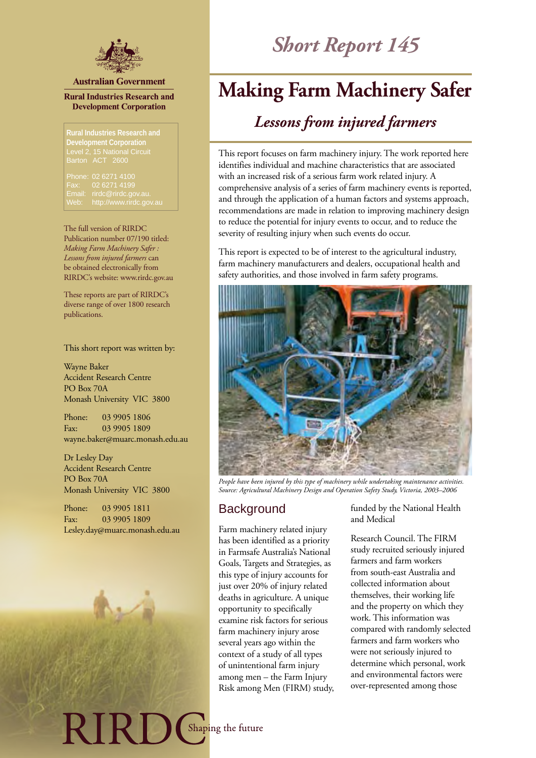

#### **Australian Government**

#### **Rural Industries Research and Development Corporation**

Level 2, 15 National Circuit Barton ACT 2600

Phone: 02 6271 4100 Fax: 02 6271 4199 Email: rirdc@rirdc.gov.au.

The full version of RIRDC Publication number 07/190 titled: *Making Farm Machinery Safer : Lessons from injured farmers* can be obtained electronically from RIRDC's website: www.rirdc.gov.au

These reports are part of RIRDC's diverse range of over 1800 research publications.

This short report was written by:

Wayne Baker Accident Research Centre PO Box 70A Monash University VIC 3800

Phone: 03 9905 1806 Fax: 03 9905 1809 wayne.baker@muarc.monash.edu.au

Dr Lesley Day Accident Research Centre PO Box 70A Monash University VIC 3800

Phone: 03 9905 1811 Fax: 03 9905 1809 Lesley.day@muarc.monash.edu.au

EIRD.

# *Short Report 145*

## **Making Farm Machinery Safer**

## *Lessons from injured farmers*

This report focuses on farm machinery injury. The work reported here identifies individual and machine characteristics that are associated with an increased risk of a serious farm work related injury. A comprehensive analysis of a series of farm machinery events is reported, and through the application of a human factors and systems approach, recommendations are made in relation to improving machinery design to reduce the potential for injury events to occur, and to reduce the severity of resulting injury when such events do occur.

This report is expected to be of interest to the agricultural industry, farm machinery manufacturers and dealers, occupational health and safety authorities, and those involved in farm safety programs.



*People have been injured by this type of machinery while undertaking maintenance activities. Source: Agricultural Machinery Design and Operation Safety Study, Victoria, 2003–2006*

## **Background**

Farm machinery related injury has been identified as a priority in Farmsafe Australia's National Goals, Targets and Strategies, as this type of injury accounts for just over 20% of injury related deaths in agriculture. A unique opportunity to specifically examine risk factors for serious farm machinery injury arose several years ago within the context of a study of all types of unintentional farm injury among men – the Farm Injury Risk among Men (FIRM) study, funded by the National Health and Medical

Research Council. The FIRM study recruited seriously injured farmers and farm workers from south-east Australia and collected information about themselves, their working life and the property on which they work. This information was compared with randomly selected farmers and farm workers who were not seriously injured to determine which personal, work and environmental factors were over-represented among those

Shaping the future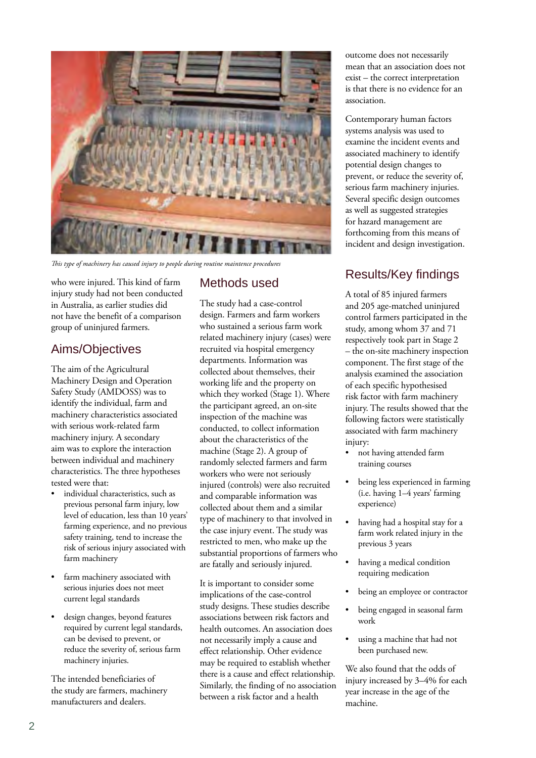

*This type of machinery has caused injury to people during routine maintence procedures*

who were injured. This kind of farm injury study had not been conducted in Australia, as earlier studies did not have the benefit of a comparison group of uninjured farmers.

## Aims/Objectives

The aim of the Agricultural Machinery Design and Operation Safety Study (AMDOSS) was to identify the individual, farm and machinery characteristics associated with serious work-related farm machinery injury. A secondary aim was to explore the interaction between individual and machinery characteristics. The three hypotheses tested were that:

- individual characteristics, such as previous personal farm injury, low level of education, less than 10 years' farming experience, and no previous safety training, tend to increase the risk of serious injury associated with farm machinery
- farm machinery associated with serious injuries does not meet current legal standards
- design changes, beyond features required by current legal standards, can be devised to prevent, or reduce the severity of, serious farm machinery injuries.

The intended beneficiaries of the study are farmers, machinery manufacturers and dealers.

## Methods used

The study had a case-control design. Farmers and farm workers who sustained a serious farm work related machinery injury (cases) were recruited via hospital emergency departments. Information was collected about themselves, their working life and the property on which they worked (Stage 1). Where the participant agreed, an on-site inspection of the machine was conducted, to collect information about the characteristics of the machine (Stage 2). A group of randomly selected farmers and farm workers who were not seriously injured (controls) were also recruited and comparable information was collected about them and a similar type of machinery to that involved in the case injury event. The study was restricted to men, who make up the substantial proportions of farmers who are fatally and seriously injured.

It is important to consider some implications of the case-control study designs. These studies describe associations between risk factors and health outcomes. An association does not necessarily imply a cause and effect relationship. Other evidence may be required to establish whether there is a cause and effect relationship. Similarly, the finding of no association between a risk factor and a health

outcome does not necessarily mean that an association does not exist – the correct interpretation is that there is no evidence for an association.

Contemporary human factors systems analysis was used to examine the incident events and associated machinery to identify potential design changes to prevent, or reduce the severity of, serious farm machinery injuries. Several specific design outcomes as well as suggested strategies for hazard management are forthcoming from this means of incident and design investigation.

## Results/Key findings

A total of 85 injured farmers and 205 age-matched uninjured control farmers participated in the study, among whom 37 and 71 respectively took part in Stage 2 – the on-site machinery inspection component. The first stage of the analysis examined the association of each specific hypothesised risk factor with farm machinery injury. The results showed that the following factors were statistically associated with farm machinery injury:

- not having attended farm training courses
- being less experienced in farming (i.e. having 1–4 years' farming experience)
- having had a hospital stay for a farm work related injury in the previous 3 years
- having a medical condition requiring medication
- being an employee or contractor
- being engaged in seasonal farm work
- using a machine that had not been purchased new.

We also found that the odds of injury increased by 3–4% for each year increase in the age of the machine.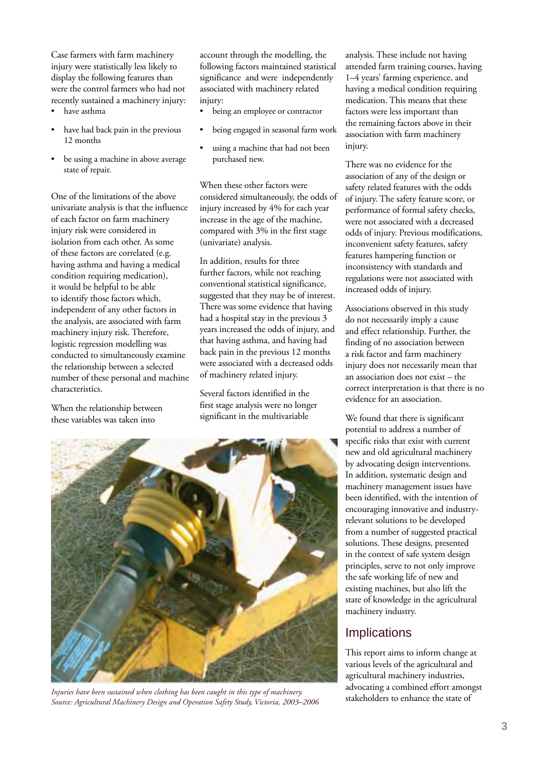Case farmers with farm machinery injury were statistically less likely to display the following features than were the control farmers who had not recently sustained a machinery injury:

- have asthma
- have had back pain in the previous 12 months
- be using a machine in above average state of repair.

One of the limitations of the above univariate analysis is that the influence of each factor on farm machinery injury risk were considered in isolation from each other. As some of these factors are correlated (e.g. having asthma and having a medical condition requiring medication), it would be helpful to be able to identify those factors which, independent of any other factors in the analysis, are associated with farm machinery injury risk. Therefore, logistic regression modelling was conducted to simultaneously examine the relationship between a selected number of these personal and machine characteristics.

When the relationship between these variables was taken into

account through the modelling, the following factors maintained statistical significance and were independently associated with machinery related injury:

- being an employee or contractor
- being engaged in seasonal farm work
- using a machine that had not been purchased new.

When these other factors were considered simultaneously, the odds of injury increased by 4% for each year increase in the age of the machine, compared with 3% in the first stage (univariate) analysis.

In addition, results for three further factors, while not reaching conventional statistical significance, suggested that they may be of interest. There was some evidence that having had a hospital stay in the previous 3 years increased the odds of injury, and that having asthma, and having had back pain in the previous 12 months were associated with a decreased odds of machinery related injury.

Several factors identified in the first stage analysis were no longer significant in the multivariable



Injuries have been sustained when clothing has been caught in this type of machinery.<br>Source: Agricultural Machinery Design and Operation Safety Study, Victoria, 2003–2006 <sup>stake</sup>holders to enhance the state of

analysis. These include not having attended farm training courses, having 1–4 years' farming experience, and having a medical condition requiring medication. This means that these factors were less important than the remaining factors above in their association with farm machinery injury.

There was no evidence for the association of any of the design or safety related features with the odds of injury. The safety feature score, or performance of formal safety checks, were not associated with a decreased odds of injury. Previous modifications, inconvenient safety features, safety features hampering function or inconsistency with standards and regulations were not associated with increased odds of injury.

Associations observed in this study do not necessarily imply a cause and effect relationship. Further, the finding of no association between a risk factor and farm machinery injury does not necessarily mean that an association does not exist – the correct interpretation is that there is no evidence for an association.

We found that there is significant potential to address a number of specific risks that exist with current new and old agricultural machinery by advocating design interventions. In addition, systematic design and machinery management issues have been identified, with the intention of encouraging innovative and industryrelevant solutions to be developed from a number of suggested practical solutions. These designs, presented in the context of safe system design principles, serve to not only improve the safe working life of new and existing machines, but also lift the state of knowledge in the agricultural machinery industry.

## **Implications**

This report aims to inform change at various levels of the agricultural and agricultural machinery industries, advocating a combined effort amongst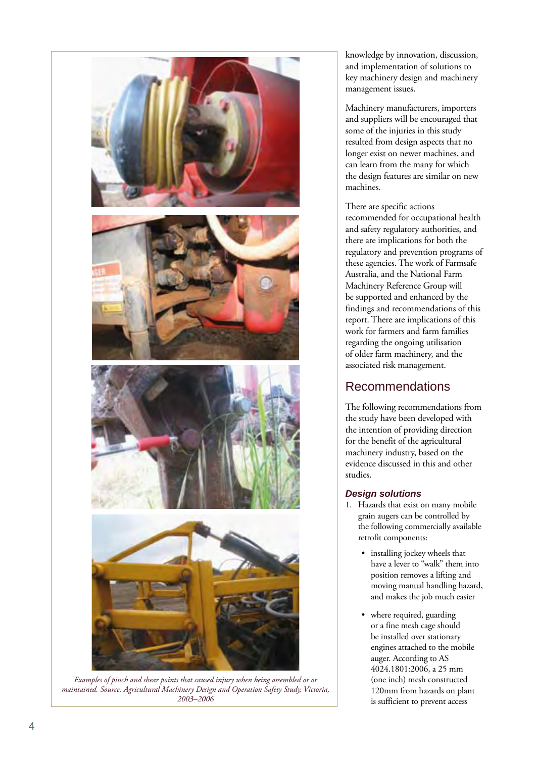

*Examples of pinch and shear points that caused injury when being assembled or or maintained. Source: Agricultural Machinery Design and Operation Safety Study, Victoria, 2003–2006*

knowledge by innovation, discussion, and implementation of solutions to key machinery design and machinery management issues.

Machinery manufacturers, importers and suppliers will be encouraged that some of the injuries in this study resulted from design aspects that no longer exist on newer machines, and can learn from the many for which the design features are similar on new machines.

There are specific actions recommended for occupational health and safety regulatory authorities, and there are implications for both the regulatory and prevention programs of these agencies. The work of Farmsafe Australia, and the National Farm Machinery Reference Group will be supported and enhanced by the findings and recommendations of this report. There are implications of this work for farmers and farm families regarding the ongoing utilisation of older farm machinery, and the associated risk management.

## Recommendations

The following recommendations from the study have been developed with the intention of providing direction for the benefit of the agricultural machinery industry, based on the evidence discussed in this and other studies.

### *Design solutions*

- 1. Hazards that exist on many mobile grain augers can be controlled by the following commercially available retrofit components:
	- installing jockey wheels that have a lever to "walk" them into position removes a lifting and moving manual handling hazard, and makes the job much easier
	- where required, guarding or a fine mesh cage should be installed over stationary engines attached to the mobile auger. According to AS 4024.1801:2006, a 25 mm (one inch) mesh constructed 120mm from hazards on plant is sufficient to prevent access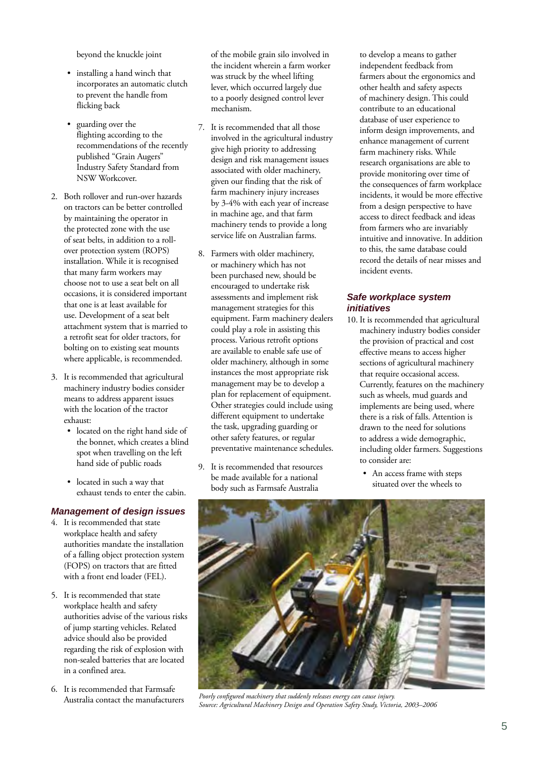beyond the knuckle joint

- installing a hand winch that incorporates an automatic clutch to prevent the handle from flicking back
- guarding over the flighting according to the recommendations of the recently published "Grain Augers" Industry Safety Standard from NSW Workcover.
- 2. Both rollover and run-over hazards on tractors can be better controlled by maintaining the operator in the protected zone with the use of seat belts, in addition to a rollover protection system (ROPS) installation. While it is recognised that many farm workers may choose not to use a seat belt on all occasions, it is considered important that one is at least available for use. Development of a seat belt attachment system that is married to a retrofit seat for older tractors, for bolting on to existing seat mounts where applicable, is recommended.
- 3. It is recommended that agricultural machinery industry bodies consider means to address apparent issues with the location of the tractor exhaust:
	- located on the right hand side of the bonnet, which creates a blind spot when travelling on the left hand side of public roads
	- located in such a way that exhaust tends to enter the cabin.

### *Management of design issues*

- 4. It is recommended that state workplace health and safety authorities mandate the installation of a falling object protection system (FOPS) on tractors that are fitted with a front end loader (FEL).
- 5. It is recommended that state workplace health and safety authorities advise of the various risks of jump starting vehicles. Related advice should also be provided regarding the risk of explosion with non-sealed batteries that are located in a confined area.
- 6. It is recommended that Farmsafe Australia contact the manufacturers

of the mobile grain silo involved in the incident wherein a farm worker was struck by the wheel lifting lever, which occurred largely due to a poorly designed control lever mechanism.

- 7. It is recommended that all those involved in the agricultural industry give high priority to addressing design and risk management issues associated with older machinery, given our finding that the risk of farm machinery injury increases by 3-4% with each year of increase in machine age, and that farm machinery tends to provide a long service life on Australian farms.
- 8. Farmers with older machinery, or machinery which has not been purchased new, should be encouraged to undertake risk assessments and implement risk management strategies for this equipment. Farm machinery dealers could play a role in assisting this process. Various retrofit options are available to enable safe use of older machinery, although in some instances the most appropriate risk management may be to develop a plan for replacement of equipment. Other strategies could include using different equipment to undertake the task, upgrading guarding or other safety features, or regular preventative maintenance schedules.
- 9. It is recommended that resources be made available for a national body such as Farmsafe Australia

to develop a means to gather independent feedback from farmers about the ergonomics and other health and safety aspects of machinery design. This could contribute to an educational database of user experience to inform design improvements, and enhance management of current farm machinery risks. While research organisations are able to provide monitoring over time of the consequences of farm workplace incidents, it would be more effective from a design perspective to have access to direct feedback and ideas from farmers who are invariably intuitive and innovative. In addition to this, the same database could record the details of near misses and incident events.

#### *Safe workplace system initiatives*

- 10. It is recommended that agricultural machinery industry bodies consider the provision of practical and cost effective means to access higher sections of agricultural machinery that require occasional access. Currently, features on the machinery such as wheels, mud guards and implements are being used, where there is a risk of falls. Attention is drawn to the need for solutions to address a wide demographic, including older farmers. Suggestions to consider are:
	- An access frame with steps situated over the wheels to



*Poorly configured machinery that suddenly releases energy can cause injury. Source: Agricultural Machinery Design and Operation Safety Study, Victoria, 2003–2006*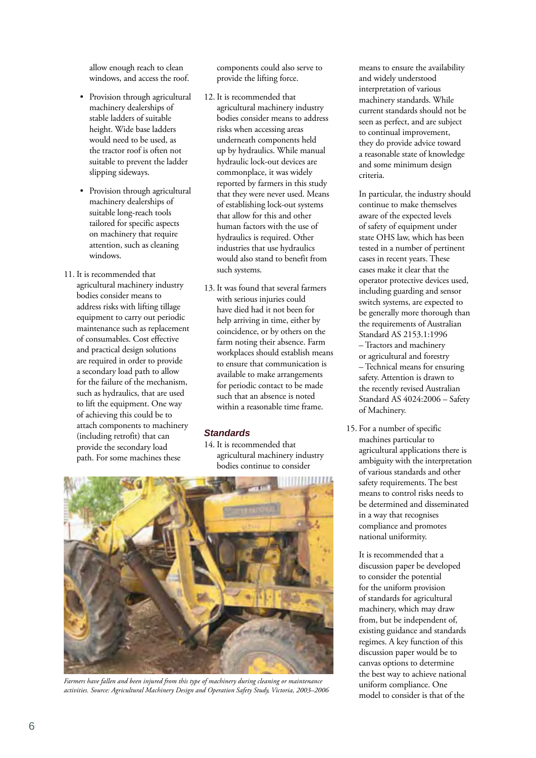allow enough reach to clean windows, and access the roof.

- Provision through agricultural machinery dealerships of stable ladders of suitable height. Wide base ladders would need to be used, as the tractor roof is often not suitable to prevent the ladder slipping sideways.
- Provision through agricultural machinery dealerships of suitable long-reach tools tailored for specific aspects on machinery that require attention, such as cleaning windows.
- 11. It is recommended that agricultural machinery industry bodies consider means to address risks with lifting tillage equipment to carry out periodic maintenance such as replacement of consumables. Cost effective and practical design solutions are required in order to provide a secondary load path to allow for the failure of the mechanism, such as hydraulics, that are used to lift the equipment. One way of achieving this could be to attach components to machinery (including retrofit) that can provide the secondary load path. For some machines these

components could also serve to provide the lifting force.

- 12. It is recommended that agricultural machinery industry bodies consider means to address risks when accessing areas underneath components held up by hydraulics. While manual hydraulic lock-out devices are commonplace, it was widely reported by farmers in this study that they were never used. Means of establishing lock-out systems that allow for this and other human factors with the use of hydraulics is required. Other industries that use hydraulics would also stand to benefit from such systems.
- 13. It was found that several farmers with serious injuries could have died had it not been for help arriving in time, either by coincidence, or by others on the farm noting their absence. Farm workplaces should establish means to ensure that communication is available to make arrangements for periodic contact to be made such that an absence is noted within a reasonable time frame.

### *Standards*

14. It is recommended that agricultural machinery industry bodies continue to consider



*Farmers have fallen and been injured from this type of machinery during cleaning or maintenance activities. Source: Agricultural Machinery Design and Operation Safety Study, Victoria, 2003–2006*

means to ensure the availability and widely understood interpretation of various machinery standards. While current standards should not be seen as perfect, and are subject to continual improvement, they do provide advice toward a reasonable state of knowledge and some minimum design criteria.

In particular, the industry should continue to make themselves aware of the expected levels of safety of equipment under state OHS law, which has been tested in a number of pertinent cases in recent years. These cases make it clear that the operator protective devices used, including guarding and sensor switch systems, are expected to be generally more thorough than the requirements of Australian Standard AS 2153.1:1996 – Tractors and machinery or agricultural and forestry – Technical means for ensuring safety. Attention is drawn to the recently revised Australian Standard AS 4024:2006 – Safety of Machinery.

15. For a number of specific machines particular to agricultural applications there is ambiguity with the interpretation of various standards and other safety requirements. The best means to control risks needs to be determined and disseminated in a way that recognises compliance and promotes national uniformity.

It is recommended that a discussion paper be developed to consider the potential for the uniform provision of standards for agricultural machinery, which may draw from, but be independent of, existing guidance and standards regimes. A key function of this discussion paper would be to canvas options to determine the best way to achieve national uniform compliance. One model to consider is that of the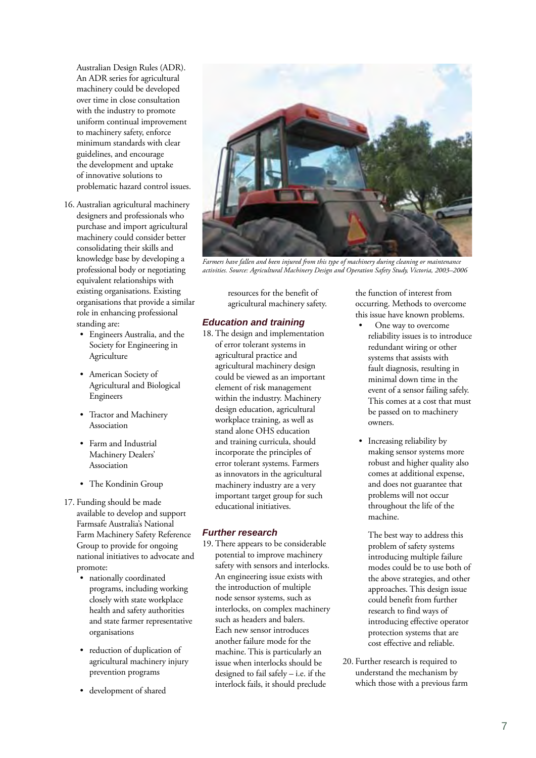Australian Design Rules (ADR). An ADR series for agricultural machinery could be developed over time in close consultation with the industry to promote uniform continual improvement to machinery safety, enforce minimum standards with clear guidelines, and encourage the development and uptake of innovative solutions to problematic hazard control issues.

- 16. Australian agricultural machinery designers and professionals who purchase and import agricultural machinery could consider better consolidating their skills and knowledge base by developing a professional body or negotiating equivalent relationships with existing organisations. Existing organisations that provide a similar role in enhancing professional standing are:
	- Engineers Australia, and the Society for Engineering in Agriculture
	- American Society of Agricultural and Biological Engineers
	- Tractor and Machinery Association
	- Farm and Industrial Machinery Dealers' Association
	- The Kondinin Group
- 17. Funding should be made available to develop and support Farmsafe Australia's National Farm Machinery Safety Reference Group to provide for ongoing national initiatives to advocate and promote:
	- nationally coordinated programs, including working closely with state workplace health and safety authorities and state farmer representative organisations
	- reduction of duplication of agricultural machinery injury prevention programs
	- development of shared



*Farmers have fallen and been injured from this type of machinery during cleaning or maintenance activities. Source: Agricultural Machinery Design and Operation Safety Study, Victoria, 2003–2006*

resources for the benefit of agricultural machinery safety.

### *Education and training*

18. The design and implementation of error tolerant systems in agricultural practice and agricultural machinery design could be viewed as an important element of risk management within the industry. Machinery design education, agricultural workplace training, as well as stand alone OHS education and training curricula, should incorporate the principles of error tolerant systems. Farmers as innovators in the agricultural machinery industry are a very important target group for such educational initiatives.

#### *Further research*

19. There appears to be considerable potential to improve machinery safety with sensors and interlocks. An engineering issue exists with the introduction of multiple node sensor systems, such as interlocks, on complex machinery such as headers and balers. Each new sensor introduces another failure mode for the machine. This is particularly an issue when interlocks should be designed to fail safely – i.e. if the interlock fails, it should preclude

the function of interest from occurring. Methods to overcome this issue have known problems.

- One way to overcome reliability issues is to introduce redundant wiring or other systems that assists with fault diagnosis, resulting in minimal down time in the event of a sensor failing safely. This comes at a cost that must be passed on to machinery owners.
- Increasing reliability by making sensor systems more robust and higher quality also comes at additional expense, and does not guarantee that problems will not occur throughout the life of the machine.

 The best way to address this problem of safety systems introducing multiple failure modes could be to use both of the above strategies, and other approaches. This design issue could benefit from further research to find ways of introducing effective operator protection systems that are cost effective and reliable.

20. Further research is required to understand the mechanism by which those with a previous farm